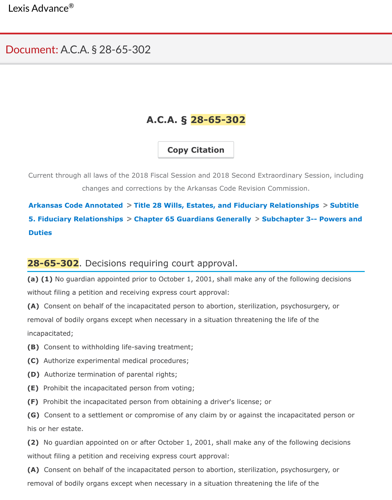## **A.C.A. § 28-65-302**

**Copy Citation**

Current through all laws of the 2018 Fiscal Session and 2018 Second Extraordinary Session, changes and corrections by the Arkansas Code Revision Commission.

Arkansas Code Annotated > Title 28 Wills, Estates, and Fiduciary Relationships > S **5. Fiduciary Relationships > Chapter 65 Guardians Generally > Subchapter 3-- Pow Duties**

## **28-65-302**. Decisions requiring court approval.

**(a) (1)** No guardian appointed prior to October 1, 2001, shall make any of the following dec [without filing a petition and receiving express court approval:](https://advance.lexis.com/documentprint/documentprintclick/?pdmfid=1000516&crid=37a90818-377c-411b-ad12-ad3c7afae750&ecomp=bgqfkkk&prid=82d93437-b505-4050-a001-9e652d207fa6#)

**(A)** Consent on behalf of the incapacitated person to abortion, sterilization, psychosurgery, removal of bodily organs except when necessary in a situation threatening the life of the incapacitated;

- **(B)** Consent to withholding life-saving treatment;
- **(C)** Authorize experimental medical procedures;
- **(D)** Authorize termination of parental rights;
- **(E)** Prohibit the incapacitated person from voting;
- **(F)** Prohibit the incapacitated person from obtaining a driver's license; or

**(G)** Consent to a settlement or compromise of any claim by or against the incapacitated per his or her estate.

**(2)** No guardian appointed on or after October 1, 2001, shall make any of the following deci without filing a petition and receiving express court approval:

**(A)** Consent on behalf of the incapacitated person to abortion, sterilization, psychosurgery, removal of bodily organs except when necessary in a situation threatening the life of the